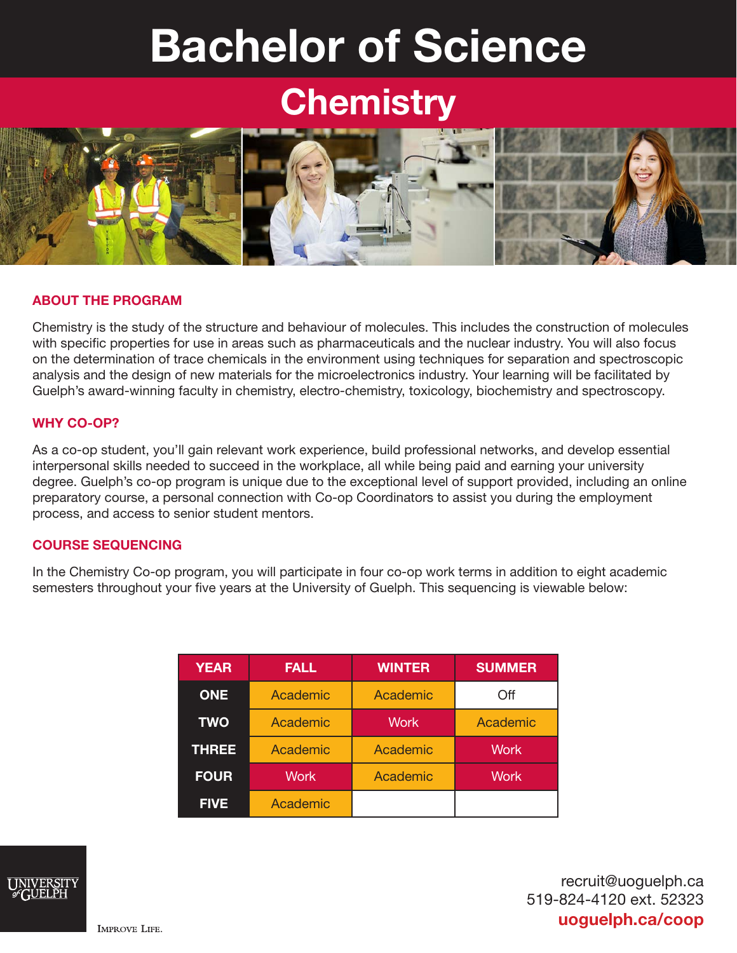# Bachelor of Science

## **Chemistry**



#### ABOUT THE PROGRAM

Chemistry is the study of the structure and behaviour of molecules. This includes the construction of molecules with specific properties for use in areas such as pharmaceuticals and the nuclear industry. You will also focus on the determination of trace chemicals in the environment using techniques for separation and spectroscopic analysis and the design of new materials for the microelectronics industry. Your learning will be facilitated by Guelph's award-winning faculty in chemistry, electro-chemistry, toxicology, biochemistry and spectroscopy.

#### WHY CO-OP?

As a co-op student, you'll gain relevant work experience, build professional networks, and develop essential interpersonal skills needed to succeed in the workplace, all while being paid and earning your university degree. Guelph's co-op program is unique due to the exceptional level of support provided, including an online preparatory course, a personal connection with Co-op Coordinators to assist you during the employment process, and access to senior student mentors.

#### COURSE SEQUENCING

In the Chemistry Co-op program, you will participate in four co-op work terms in addition to eight academic semesters throughout your five years at the University of Guelph. This sequencing is viewable below:

| <b>YEAR</b>  | <b>FALL</b> | <b>WINTER</b> | <b>SUMMER</b> |
|--------------|-------------|---------------|---------------|
| <b>ONE</b>   | Academic    | Academic      | Off           |
| <b>TWO</b>   | Academic    | <b>Work</b>   | Academic      |
| <b>THREE</b> | Academic    | Academic      | <b>Work</b>   |
| <b>FOUR</b>  | <b>Work</b> | Academic      | <b>Work</b>   |
| <b>FIVE</b>  | Academic    |               |               |



recruit@uoguelph.ca 519-824-4120 ext. 52323 uoguelph.ca/coop